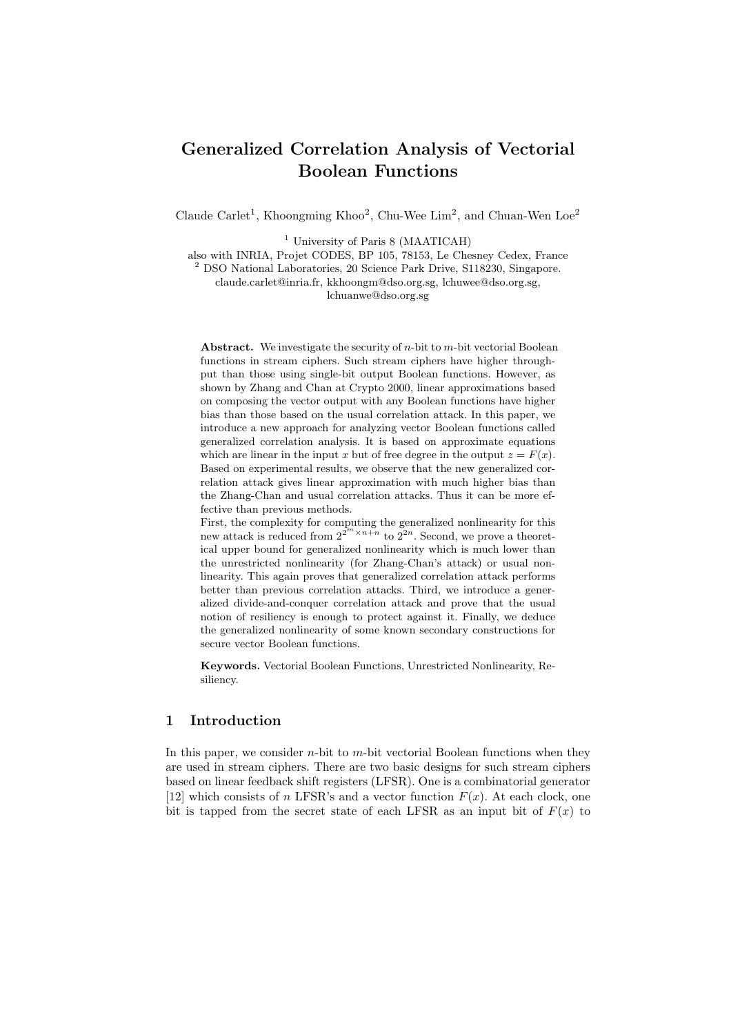# Generalized Correlation Analysis of Vectorial Boolean Functions

Claude Carlet<sup>1</sup>, Khoongming Khoo<sup>2</sup>, Chu-Wee Lim<sup>2</sup>, and Chuan-Wen Loe<sup>2</sup>

<sup>1</sup> University of Paris 8 (MAATICAH)

also with INRIA, Projet CODES, BP 105, 78153, Le Chesney Cedex, France

<sup>2</sup> DSO National Laboratories, 20 Science Park Drive, S118230, Singapore. claude.carlet@inria.fr, kkhoongm@dso.org.sg, lchuwee@dso.org.sg,

lchuanwe@dso.org.sg

Abstract. We investigate the security of  $n$ -bit to  $m$ -bit vectorial Boolean functions in stream ciphers. Such stream ciphers have higher throughput than those using single-bit output Boolean functions. However, as shown by Zhang and Chan at Crypto 2000, linear approximations based on composing the vector output with any Boolean functions have higher bias than those based on the usual correlation attack. In this paper, we introduce a new approach for analyzing vector Boolean functions called generalized correlation analysis. It is based on approximate equations which are linear in the input x but of free degree in the output  $z = F(x)$ . Based on experimental results, we observe that the new generalized correlation attack gives linear approximation with much higher bias than the Zhang-Chan and usual correlation attacks. Thus it can be more effective than previous methods.

First, the complexity for computing the generalized nonlinearity for this new attack is reduced from  $2^{2^m \times n+n}$  to  $2^{2n}$ . Second, we prove a theoretical upper bound for generalized nonlinearity which is much lower than the unrestricted nonlinearity (for Zhang-Chan's attack) or usual nonlinearity. This again proves that generalized correlation attack performs better than previous correlation attacks. Third, we introduce a generalized divide-and-conquer correlation attack and prove that the usual notion of resiliency is enough to protect against it. Finally, we deduce the generalized nonlinearity of some known secondary constructions for secure vector Boolean functions.

Keywords. Vectorial Boolean Functions, Unrestricted Nonlinearity, Resiliency.

## 1 Introduction

In this paper, we consider  $n$ -bit to  $m$ -bit vectorial Boolean functions when they are used in stream ciphers. There are two basic designs for such stream ciphers based on linear feedback shift registers (LFSR). One is a combinatorial generator [12] which consists of n LFSR's and a vector function  $F(x)$ . At each clock, one bit is tapped from the secret state of each LFSR as an input bit of  $F(x)$  to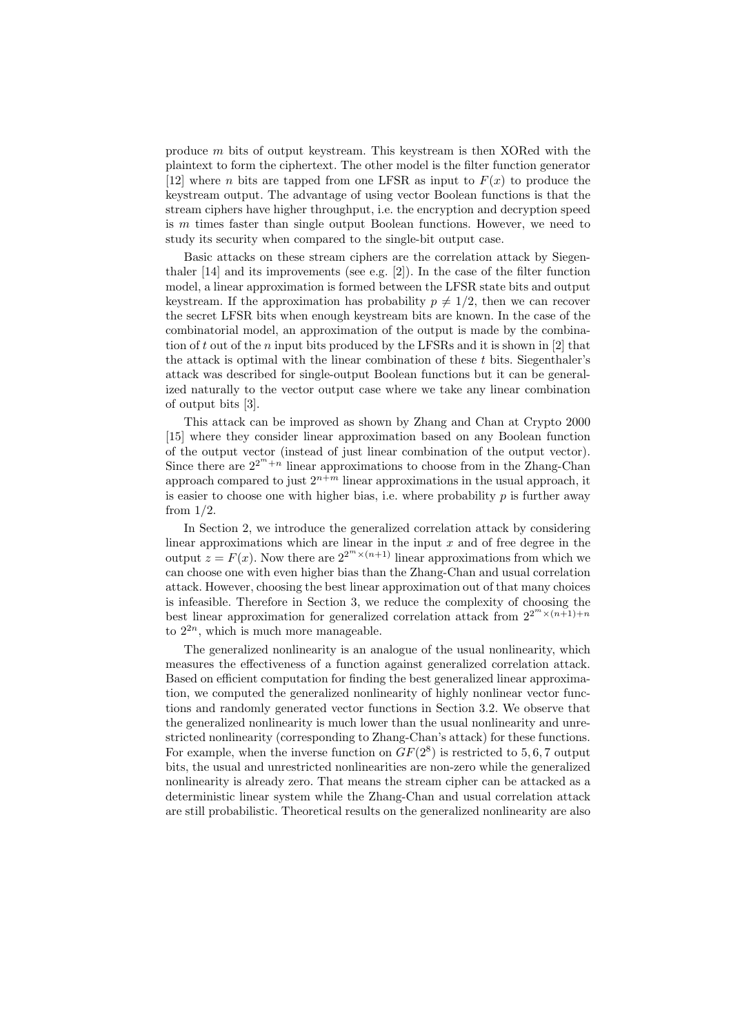produce m bits of output keystream. This keystream is then XORed with the plaintext to form the ciphertext. The other model is the filter function generator [12] where *n* bits are tapped from one LFSR as input to  $F(x)$  to produce the keystream output. The advantage of using vector Boolean functions is that the stream ciphers have higher throughput, i.e. the encryption and decryption speed is m times faster than single output Boolean functions. However, we need to study its security when compared to the single-bit output case.

Basic attacks on these stream ciphers are the correlation attack by Siegenthaler  $[14]$  and its improvements (see e.g.  $[2]$ ). In the case of the filter function model, a linear approximation is formed between the LFSR state bits and output keystream. If the approximation has probability  $p \neq 1/2$ , then we can recover the secret LFSR bits when enough keystream bits are known. In the case of the combinatorial model, an approximation of the output is made by the combination of t out of the n input bits produced by the LFSRs and it is shown in [2] that the attack is optimal with the linear combination of these  $t$  bits. Siegenthaler's attack was described for single-output Boolean functions but it can be generalized naturally to the vector output case where we take any linear combination of output bits [3].

This attack can be improved as shown by Zhang and Chan at Crypto 2000 [15] where they consider linear approximation based on any Boolean function of the output vector (instead of just linear combination of the output vector). Since there are  $2^{2^m+n}$  linear approximations to choose from in the Zhang-Chan approach compared to just  $2^{n+m}$  linear approximations in the usual approach, it is easier to choose one with higher bias, i.e. where probability  $p$  is further away from 1/2.

In Section 2, we introduce the generalized correlation attack by considering linear approximations which are linear in the input  $x$  and of free degree in the output  $z = F(x)$ . Now there are  $2^{2^m \times (n+1)}$  linear approximations from which we can choose one with even higher bias than the Zhang-Chan and usual correlation attack. However, choosing the best linear approximation out of that many choices is infeasible. Therefore in Section 3, we reduce the complexity of choosing the best linear approximation for generalized correlation attack from  $2^{2^m \times (n+1)+n}$ to  $2^{2n}$ , which is much more manageable.

The generalized nonlinearity is an analogue of the usual nonlinearity, which measures the effectiveness of a function against generalized correlation attack. Based on efficient computation for finding the best generalized linear approximation, we computed the generalized nonlinearity of highly nonlinear vector functions and randomly generated vector functions in Section 3.2. We observe that the generalized nonlinearity is much lower than the usual nonlinearity and unrestricted nonlinearity (corresponding to Zhang-Chan's attack) for these functions. For example, when the inverse function on  $GF(2^8)$  is restricted to 5,6,7 output bits, the usual and unrestricted nonlinearities are non-zero while the generalized nonlinearity is already zero. That means the stream cipher can be attacked as a deterministic linear system while the Zhang-Chan and usual correlation attack are still probabilistic. Theoretical results on the generalized nonlinearity are also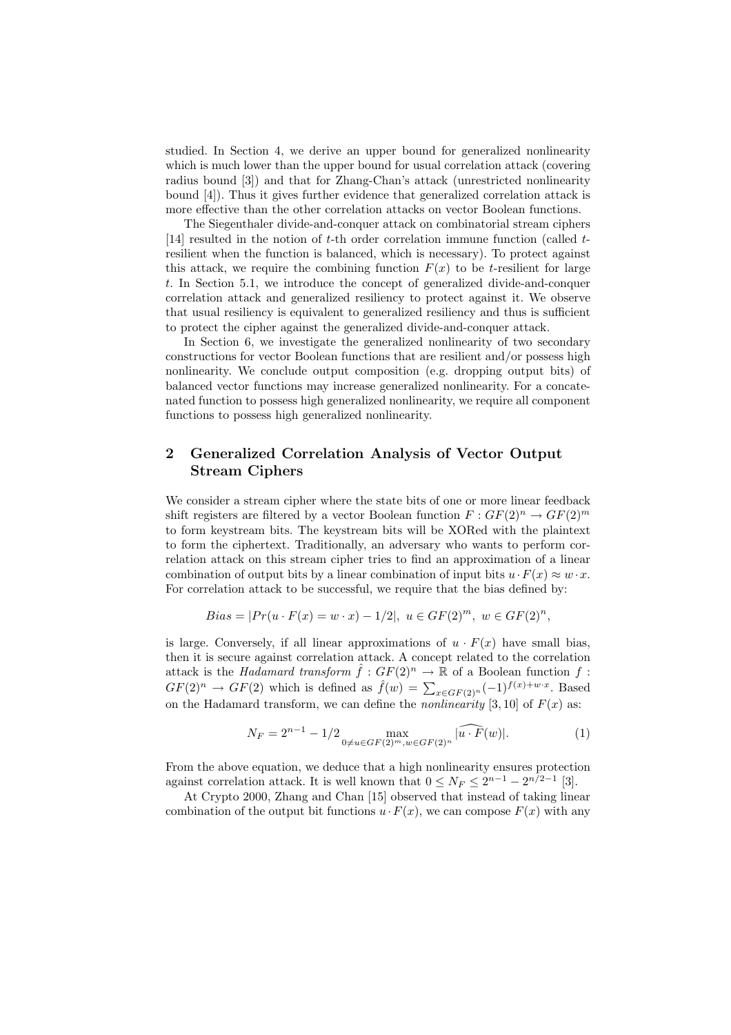studied. In Section 4, we derive an upper bound for generalized nonlinearity which is much lower than the upper bound for usual correlation attack (covering radius bound [3]) and that for Zhang-Chan's attack (unrestricted nonlinearity bound [4]). Thus it gives further evidence that generalized correlation attack is more effective than the other correlation attacks on vector Boolean functions.

The Siegenthaler divide-and-conquer attack on combinatorial stream ciphers [14] resulted in the notion of t-th order correlation immune function (called tresilient when the function is balanced, which is necessary). To protect against this attack, we require the combining function  $F(x)$  to be t-resilient for large t. In Section 5.1, we introduce the concept of generalized divide-and-conquer correlation attack and generalized resiliency to protect against it. We observe that usual resiliency is equivalent to generalized resiliency and thus is sufficient to protect the cipher against the generalized divide-and-conquer attack.

In Section 6, we investigate the generalized nonlinearity of two secondary constructions for vector Boolean functions that are resilient and/or possess high nonlinearity. We conclude output composition (e.g. dropping output bits) of balanced vector functions may increase generalized nonlinearity. For a concatenated function to possess high generalized nonlinearity, we require all component functions to possess high generalized nonlinearity.

# 2 Generalized Correlation Analysis of Vector Output Stream Ciphers

We consider a stream cipher where the state bits of one or more linear feedback shift registers are filtered by a vector Boolean function  $F: GF(2)^n \to GF(2)^m$ to form keystream bits. The keystream bits will be XORed with the plaintext to form the ciphertext. Traditionally, an adversary who wants to perform correlation attack on this stream cipher tries to find an approximation of a linear combination of output bits by a linear combination of input bits  $u \cdot F(x) \approx w \cdot x$ . For correlation attack to be successful, we require that the bias defined by:

$$
Bias = |Pr(u \cdot F(x) = w \cdot x) - 1/2|, \ u \in GF(2)^m, \ w \in GF(2)^n,
$$

is large. Conversely, if all linear approximations of  $u \cdot F(x)$  have small bias, then it is secure against correlation attack. A concept related to the correlation attack is the Hadamard transform  $\hat{f}: GF(2)^n \to \mathbb{R}$  of a Boolean function f: GE(2)<sup>n</sup> → GF(2) which is defined as  $\hat{f}(w) = \sum_{x \in GF(2)^n} (-1)^{f(x)+w \cdot x}$ . Based on the Hadamard transform, we can define the *nonlinearity* [3, 10] of  $F(x)$  as:

$$
N_F = 2^{n-1} - 1/2 \max_{0 \neq u \in GF(2)^m, w \in GF(2)^n} |\widehat{u \cdot F}(w)|.
$$
 (1)

From the above equation, we deduce that a high nonlinearity ensures protection against correlation attack. It is well known that  $0 \le N_F \le 2^{n-1} - 2^{n/2-1}$  [3].

At Crypto 2000, Zhang and Chan [15] observed that instead of taking linear combination of the output bit functions  $u \cdot F(x)$ , we can compose  $F(x)$  with any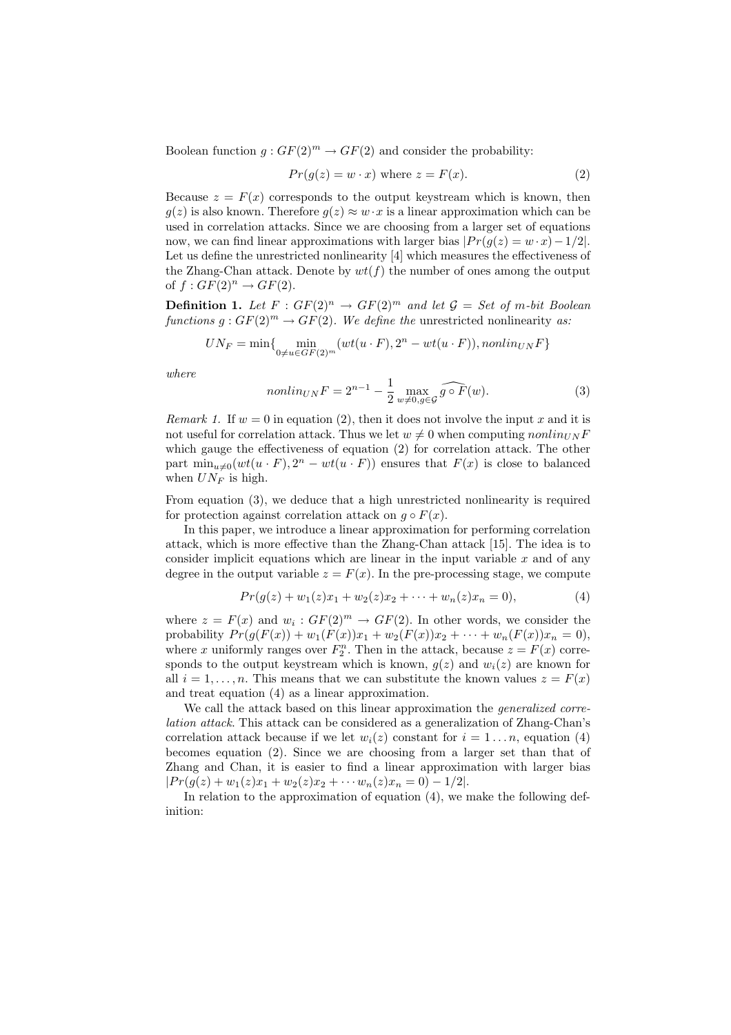Boolean function  $g: GF(2)^m \to GF(2)$  and consider the probability:

$$
Pr(g(z) = w \cdot x) \text{ where } z = F(x). \tag{2}
$$

Because  $z = F(x)$  corresponds to the output keystream which is known, then  $q(z)$  is also known. Therefore  $q(z) \approx w \cdot x$  is a linear approximation which can be used in correlation attacks. Since we are choosing from a larger set of equations now, we can find linear approximations with larger bias  $|Pr(q(z) = w \cdot x) - 1/2|$ . Let us define the unrestricted nonlinearity [4] which measures the effectiveness of the Zhang-Chan attack. Denote by  $wt(f)$  the number of ones among the output of  $f: GF(2)^n \rightarrow GF(2)$ .

**Definition 1.** Let  $F: GF(2)^n \rightarrow GF(2)^m$  and let  $\mathcal{G} = Set$  of m-bit Boolean functions  $g: GF(2)^m \to GF(2)$ . We define the unrestricted nonlinearity as:

$$
UN_F = \min\{\min_{0 \neq u \in GF(2)^m} (wt(u \cdot F), 2^n - wt(u \cdot F)), nonlin_{UN}F\}
$$

where

$$
nonlin_{UN}F = 2^{n-1} - \frac{1}{2} \max_{w \neq 0, g \in \mathcal{G}} \widehat{g \circ F}(w).
$$
\n(3)

Remark 1. If  $w = 0$  in equation (2), then it does not involve the input x and it is not useful for correlation attack. Thus we let  $w \neq 0$  when computing nonlin<sub>UN</sub> F which gauge the effectiveness of equation (2) for correlation attack. The other part  $\min_{u\neq0}(wt(u\cdot F),2^n-wt(u\cdot F))$  ensures that  $F(x)$  is close to balanced when  $UN_F$  is high.

From equation (3), we deduce that a high unrestricted nonlinearity is required for protection against correlation attack on  $q \circ F(x)$ .

In this paper, we introduce a linear approximation for performing correlation attack, which is more effective than the Zhang-Chan attack [15]. The idea is to consider implicit equations which are linear in the input variable  $x$  and of any degree in the output variable  $z = F(x)$ . In the pre-processing stage, we compute

$$
Pr(g(z) + w_1(z)x_1 + w_2(z)x_2 + \dots + w_n(z)x_n = 0),
$$
\n(4)

where  $z = F(x)$  and  $w_i : GF(2)^m \to GF(2)$ . In other words, we consider the probability  $Pr(g(F(x)) + w_1(F(x))x_1 + w_2(F(x))x_2 + \cdots + w_n(F(x))x_n = 0),$ where x uniformly ranges over  $F_2^n$ . Then in the attack, because  $z = F(x)$  corresponds to the output keystream which is known,  $g(z)$  and  $w<sub>i</sub>(z)$  are known for all  $i = 1, \ldots, n$ . This means that we can substitute the known values  $z = F(x)$ and treat equation (4) as a linear approximation.

We call the attack based on this linear approximation the *generalized corre*lation attack. This attack can be considered as a generalization of Zhang-Chan's correlation attack because if we let  $w_i(z)$  constant for  $i = 1 \ldots n$ , equation (4) becomes equation (2). Since we are choosing from a larger set than that of Zhang and Chan, it is easier to find a linear approximation with larger bias  $|Pr(g(z) + w_1(z)x_1 + w_2(z)x_2 + \cdots w_n(z)x_n = 0) - 1/2|$ .

In relation to the approximation of equation  $(4)$ , we make the following definition: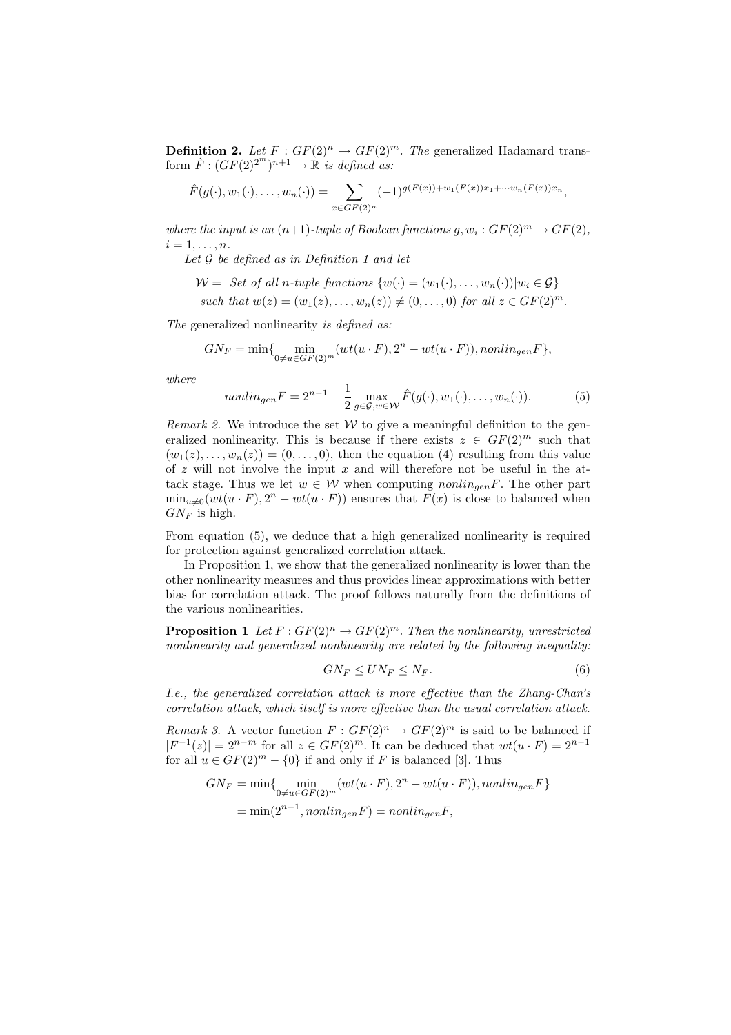**Definition 2.** Let  $F: GF(2)^n \to GF(2)^m$ . The generalized Hadamard transform  $\hat{F}:(GF(2)^{2^m})^{n+1}\to \mathbb{R}$  is defined as:

$$
\hat{F}(g(\cdot), w_1(\cdot), \dots, w_n(\cdot)) = \sum_{x \in GF(2)^n} (-1)^{g(F(x)) + w_1(F(x))x_1 + \dots + w_n(F(x))x_n},
$$

where the input is an  $(n+1)$ -tuple of Boolean functions  $g, w_i : GF(2)^m \to GF(2)$ ,  $i=1,\ldots,n$ .

Let  $G$  be defined as in Definition 1 and let

 $W = Set of all n-tuple functions \{w(\cdot) = (w_1(\cdot), \ldots, w_n(\cdot)) | w_i \in \mathcal{G}\}\$ 

such that  $w(z) = (w_1(z), \ldots, w_n(z)) \neq (0, \ldots, 0)$  for all  $z \in GF(2)^m$ .

The generalized nonlinearity is defined as:

$$
GN_F = \min\{\min_{0 \neq u \in GF(2)^m} (wt(u \cdot F), 2^n - wt(u \cdot F)), nonling_{en}F\},\
$$

where

$$
nonlin_{gen}F = 2^{n-1} - \frac{1}{2} \max_{g \in \mathcal{G}, w \in \mathcal{W}} \hat{F}(g(\cdot), w_1(\cdot), \dots, w_n(\cdot)). \tag{5}
$$

Remark 2. We introduce the set  $W$  to give a meaningful definition to the generalized nonlinearity. This is because if there exists  $z \in GF(2)^m$  such that  $(w_1(z), \ldots, w_n(z)) = (0, \ldots, 0)$ , then the equation (4) resulting from this value of  $z$  will not involve the input  $x$  and will therefore not be useful in the attack stage. Thus we let  $w \in W$  when computing nonlin<sub>gen</sub>F. The other part  $\min_{u \neq 0} (wt(u \cdot F), 2^n - wt(u \cdot F))$  ensures that  $F(x)$  is close to balanced when  $GN_F$  is high.

From equation (5), we deduce that a high generalized nonlinearity is required for protection against generalized correlation attack.

In Proposition 1, we show that the generalized nonlinearity is lower than the other nonlinearity measures and thus provides linear approximations with better bias for correlation attack. The proof follows naturally from the definitions of the various nonlinearities.

**Proposition 1** Let  $F: GF(2)^n \to GF(2)^m$ . Then the nonlinearity, unrestricted nonlinearity and generalized nonlinearity are related by the following inequality:

$$
GN_F \leq UN_F \leq N_F. \tag{6}
$$

I.e., the generalized correlation attack is more effective than the Zhang-Chan's correlation attack, which itself is more effective than the usual correlation attack.

Remark 3. A vector function  $F: GF(2)^n \to GF(2)^m$  is said to be balanced if  $|F^{-1}(z)| = 2^{n-m}$  for all  $z \in GF(2)^m$ . It can be deduced that  $wt(u \cdot F) = 2^{n-1}$ for all  $u \in GF(2)^m - \{0\}$  if and only if F is balanced [3]. Thus

$$
GN_F = \min\{\min_{0 \neq u \in GF(2)^m} (wt(u \cdot F), 2^n - wt(u \cdot F)), nonling_{en}F\}
$$
  
= 
$$
\min(2^{n-1}, nonling_{en}F) = nonling_{en}F,
$$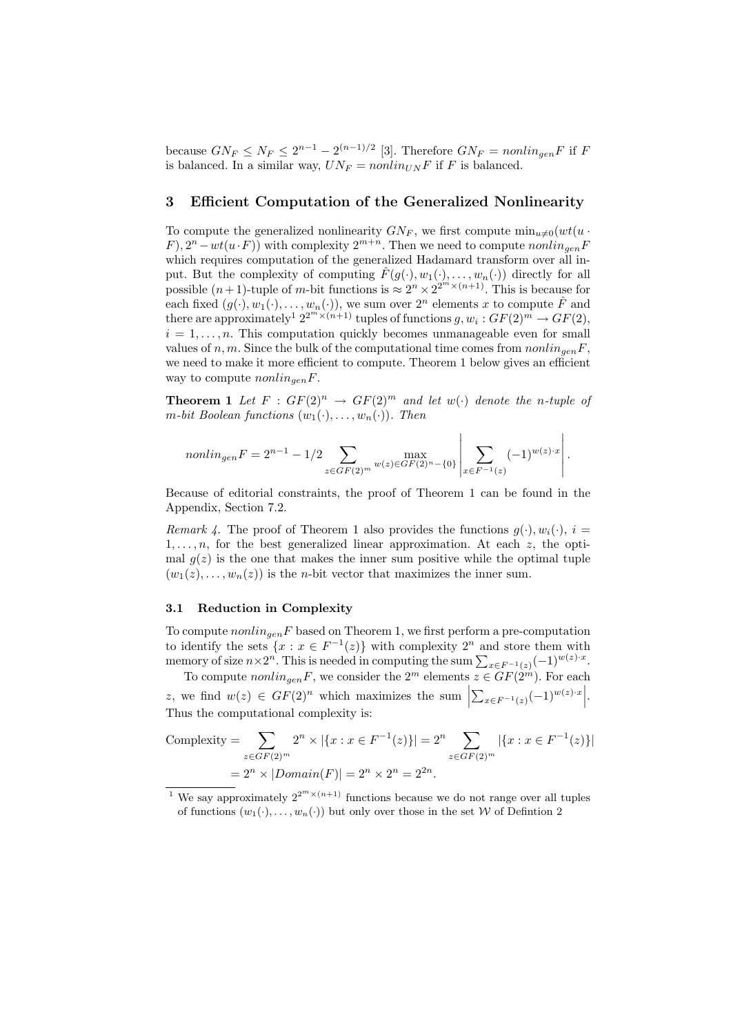because  $GN_F \leq N_F \leq 2^{n-1} - 2^{(n-1)/2}$  [3]. Therefore  $GN_F = \text{nonlin}_{gen}F$  if F is balanced. In a similar way,  $UN_F = nonlin_{UN}F$  if F is balanced.

#### 3 Efficient Computation of the Generalized Nonlinearity

To compute the generalized nonlinearity  $GN_F$ , we first compute  $\min_{u\neq 0}(wt(u\cdot$  $(F), 2^n-wt(u\cdot F))$  with complexity  $2^{m+n}$ . Then we need to compute nonlingen F which requires computation of the generalized Hadamard transform over all input. But the complexity of computing  $\hat{F}(g(\cdot), w_1(\cdot), \ldots, w_n(\cdot))$  directly for all possible  $(n+1)$ -tuple of m-bit functions is  $\approx 2^n \times 2^{2^m \times (n+1)}$ . This is because for each fixed  $(g(\cdot), w_1(\cdot), \ldots, w_n(\cdot))$ , we sum over  $2^n$  elements x to compute  $\hat{F}$  and there are approximately<sup>1</sup>  $2^{2^m \times (n+1)}$  tuples of functions  $g, w_i : GF(2)^m \to GF(2)$ ,  $i = 1, \ldots, n$ . This computation quickly becomes unmanageable even for small values of n, m. Since the bulk of the computational time comes from  $nonlin_{gen}F$ , we need to make it more efficient to compute. Theorem 1 below gives an efficient way to compute  $nonlin_{gen}F$ .

**Theorem 1** Let  $F: GF(2)^n \rightarrow GF(2)^m$  and let  $w(\cdot)$  denote the n-tuple of m-bit Boolean functions  $(w_1(\cdot), \ldots, w_n(\cdot))$ . Then

 $\overline{a}$ 

 $\overline{a}$ 

$$
nonlin_{gen} F = 2^{n-1} - 1/2 \sum_{z \in GF(2)^m} \max_{w(z) \in GF(2)^n - \{0\}} \left| \sum_{x \in F^{-1}(z)} (-1)^{w(z) \cdot x} \right|.
$$

Because of editorial constraints, the proof of Theorem 1 can be found in the Appendix, Section 7.2.

Remark 4. The proof of Theorem 1 also provides the functions  $q(\cdot), w_i(\cdot), i =$  $1, \ldots, n$ , for the best generalized linear approximation. At each z, the optimal  $q(z)$  is the one that makes the inner sum positive while the optimal tuple  $(w_1(z), \ldots, w_n(z))$  is the *n*-bit vector that maximizes the inner sum.

#### 3.1 Reduction in Complexity

To compute  $nonlin_{gen}F$  based on Theorem 1, we first perform a pre-computation to identify the sets  $\{x : x \in F^{-1}(z)\}\$  with complexity  $2^n$  and store them with to identify the sets  $\{x : x \in F \mid z\}$  with complexity  $2^{\infty}$  and store them with memory of size  $n \times 2^n$ . This is needed in computing the sum  $\sum_{x \in F^{-1}(z)} (-1)^{w(z) \cdot x}$ .

To compute  $nonlin_{gen}F$ , we consider the  $2^m$  elements  $z \in GF(2^m)$ . For each z, we find  $w(z) \in GF(2)^n$  which maximizes the sum  $\sum$  $_{x\in F^{-1}(z)}(-1)^{w(z)\cdot x}$ . Thus the computational complexity is:

Complexity = 
$$
\sum_{z \in GF(2)^m} 2^n \times |\{x : x \in F^{-1}(z)\}| = 2^n \sum_{z \in GF(2)^m} |\{x : x \in F^{-1}(z)\}|
$$

$$
= 2^n \times |Domain(F)| = 2^n \times 2^n = 2^{2n}.
$$

We say approximately  $2^{2^m \times (n+1)}$  functions because we do not range over all tuples of functions  $(w_1(\cdot), \ldots, w_n(\cdot))$  but only over those in the set W of Defintion 2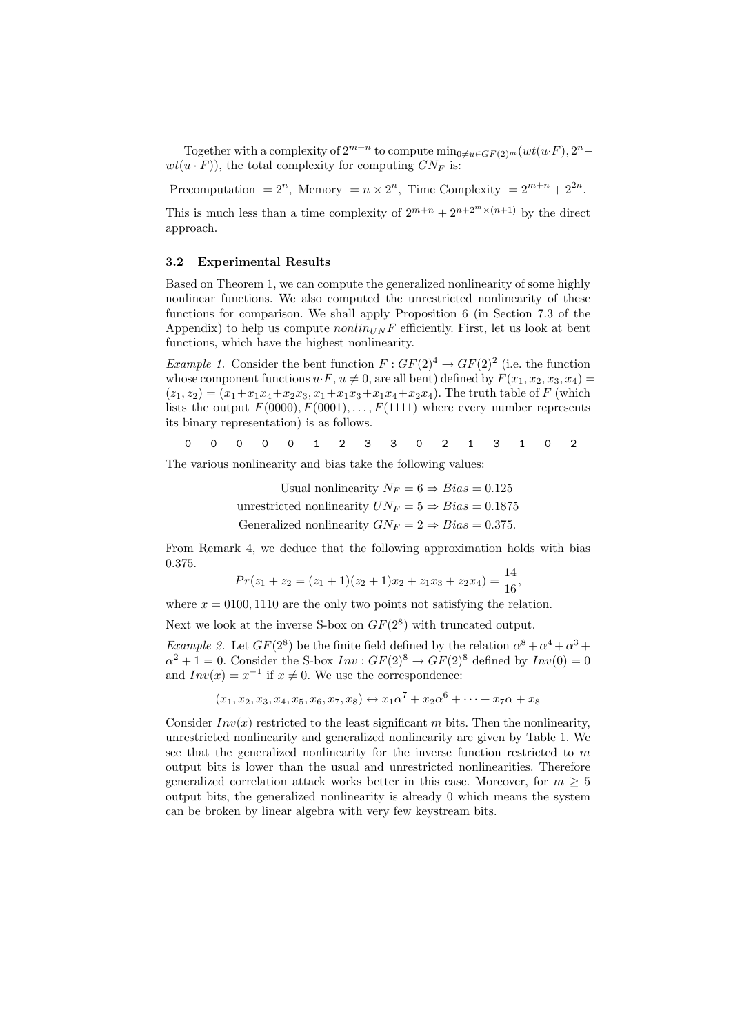Together with a complexity of  $2^{m+n}$  to compute  $\min_{0 \neq u \in GF(2)^m}(wt(u \cdot F), 2^n$  $wt(u \cdot F)$ , the total complexity for computing  $GN_F$  is:

Precomputation =  $2^n$ , Memory =  $n \times 2^n$ , Time Complexity =  $2^{m+n} + 2^{2n}$ .

This is much less than a time complexity of  $2^{m+n} + 2^{n+2^m \times (n+1)}$  by the direct approach.

#### 3.2 Experimental Results

Based on Theorem 1, we can compute the generalized nonlinearity of some highly nonlinear functions. We also computed the unrestricted nonlinearity of these functions for comparison. We shall apply Proposition 6 (in Section 7.3 of the Appendix) to help us compute  $nonlin_{UN}F$  efficiently. First, let us look at bent functions, which have the highest nonlinearity.

*Example 1.* Consider the bent function  $F: GF(2)^4 \to GF(2)^2$  (i.e. the function whose component functions  $u \cdot F$ ,  $u \neq 0$ , are all bent) defined by  $F(x_1, x_2, x_3, x_4) =$  $(z_1, z_2) = (x_1 + x_1x_4 + x_2x_3, x_1 + x_1x_3 + x_1x_4 + x_2x_4)$ . The truth table of F (which lists the output  $F(0000), F(0001), \ldots, F(1111)$  where every number represents its binary representation) is as follows.

0 0 0 0 0 1 2 3 3 0 2 1 3 1 0 2

The various nonlinearity and bias take the following values:

Usual nonlinearity  $N_F = 6 \Rightarrow Bias = 0.125$ unrestricted nonlinearity  $UN_F = 5 \Rightarrow Bias = 0.1875$ Generalized nonlinearity  $GN_F = 2 \Rightarrow Bias = 0.375$ .

From Remark 4, we deduce that the following approximation holds with bias 0.375.

$$
Pr(z_1 + z_2 = (z_1 + 1)(z_2 + 1)x_2 + z_1x_3 + z_2x_4) = \frac{14}{16},
$$

where  $x = 0100, 1110$  are the only two points not satisfying the relation.

Next we look at the inverse S-box on  $GF(2^8)$  with truncated output.

*Example 2.* Let  $GF(2^8)$  be the finite field defined by the relation  $\alpha^8 + \alpha^4 + \alpha^3 + \alpha^4 + \alpha^5$  $\alpha^2 + 1 = 0$ . Consider the S-box  $Inv : GF(2)^8 \to GF(2)^8$  defined by  $Inv(0) = 0$ and  $Inv(x) = x^{-1}$  if  $x \neq 0$ . We use the correspondence:

$$
(x_1, x_2, x_3, x_4, x_5, x_6, x_7, x_8) \leftrightarrow x_1 \alpha^7 + x_2 \alpha^6 + \dots + x_7 \alpha + x_8
$$

Consider  $Inv(x)$  restricted to the least significant m bits. Then the nonlinearity, unrestricted nonlinearity and generalized nonlinearity are given by Table 1. We see that the generalized nonlinearity for the inverse function restricted to m output bits is lower than the usual and unrestricted nonlinearities. Therefore generalized correlation attack works better in this case. Moreover, for  $m \geq 5$ output bits, the generalized nonlinearity is already 0 which means the system can be broken by linear algebra with very few keystream bits.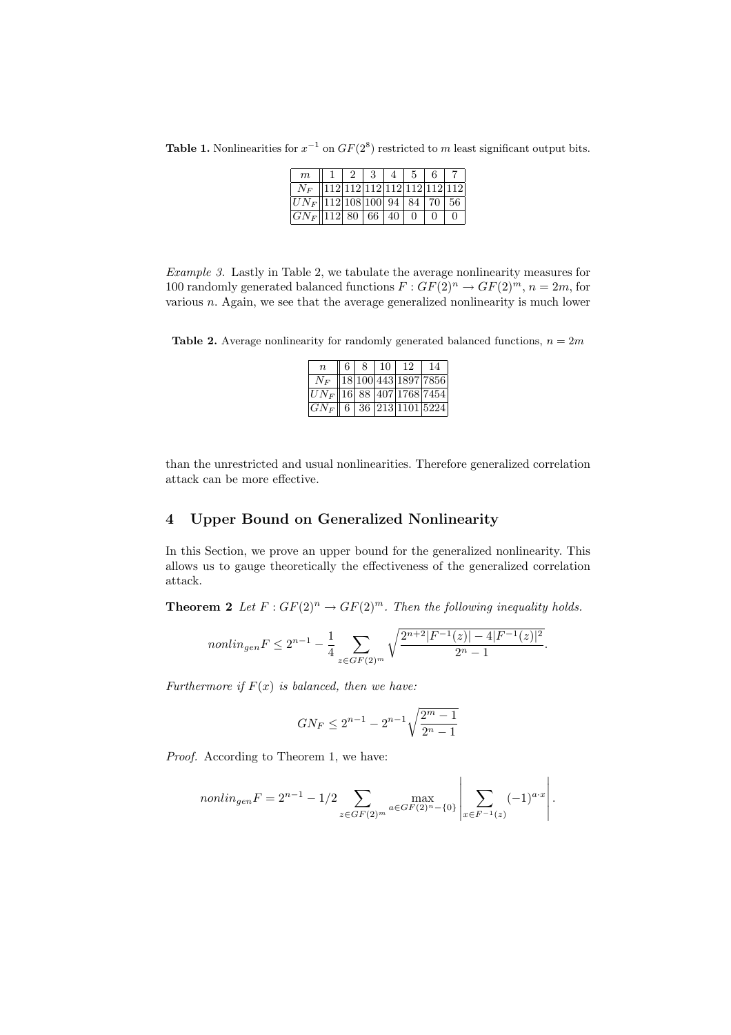Table 1. Nonlinearities for  $x^{-1}$  on  $GF(2^8)$  restricted to m least significant output bits.

| m                                       | 2 <sub>1</sub> | 3 <sup>1</sup> | $4 \mid 5 \mid$ | $-6$ . |  |
|-----------------------------------------|----------------|----------------|-----------------|--------|--|
| $N_F$   112  112  112  112  112  112    |                |                |                 |        |  |
| $ UN_F  112 108 100 $ 94   84   70   56 |                |                |                 |        |  |
| $ GN_F  112 $ 80   66   40              |                |                | $\theta$        |        |  |

Example 3. Lastly in Table 2, we tabulate the average nonlinearity measures for 100 randomly generated balanced functions  $F: GF(2)^n \to GF(2)^m$ ,  $n = 2m$ , for various n. Again, we see that the average generalized nonlinearity is much lower

**Table 2.** Average nonlinearity for randomly generated balanced functions,  $n = 2m$ 

| $\boldsymbol{n}$                             | 6 | 10 | 12 | 14                   |
|----------------------------------------------|---|----|----|----------------------|
| $N_F$                                        |   |    |    | 18 100 443 1897 7856 |
| $\boxed{UN_F \parallel 16}$ 88 407 1768 7454 |   |    |    |                      |
| $ GN_F  $ 6   36   213   1101   5224         |   |    |    |                      |

than the unrestricted and usual nonlinearities. Therefore generalized correlation attack can be more effective.

# 4 Upper Bound on Generalized Nonlinearity

In this Section, we prove an upper bound for the generalized nonlinearity. This allows us to gauge theoretically the effectiveness of the generalized correlation attack.

**Theorem 2** Let  $F: GF(2)^n \to GF(2)^m$ . Then the following inequality holds.

$$
nonlin_{gen} F \leq 2^{n-1} - \frac{1}{4} \sum_{z \in GF(2)^m} \sqrt{\frac{2^{n+2}|F^{-1}(z)| - 4|F^{-1}(z)|^2}{2^n - 1}}.
$$

Furthermore if  $F(x)$  is balanced, then we have:

$$
GN_F \le 2^{n-1} - 2^{n-1} \sqrt{\frac{2^m - 1}{2^n - 1}}
$$

Proof. According to Theorem 1, we have:

$$
nonlin_{gen} F = 2^{n-1} - 1/2 \sum_{z \in GF(2)^m} \max_{a \in GF(2)^n - \{0\}} \left| \sum_{x \in F^{-1}(z)} (-1)^{a \cdot x} \right|.
$$

 $\overline{a}$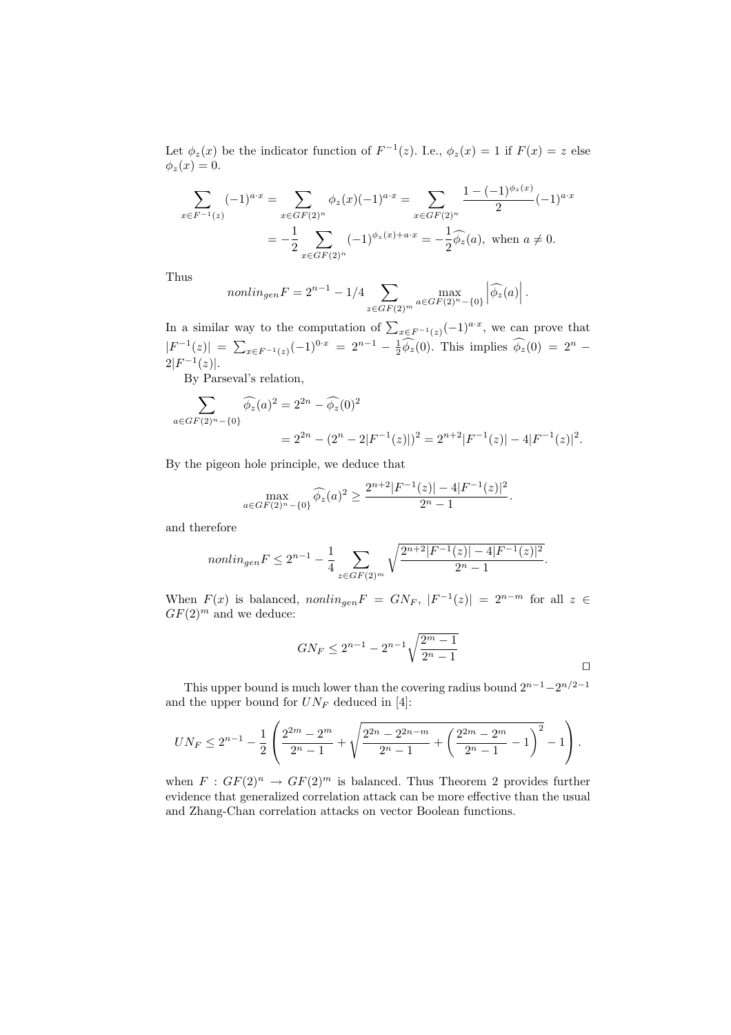Let  $\phi_z(x)$  be the indicator function of  $F^{-1}(z)$ . I.e.,  $\phi_z(x) = 1$  if  $F(x) = z$  else  $\phi_z(x) = 0.$ 

$$
\sum_{x \in F^{-1}(z)} (-1)^{a \cdot x} = \sum_{x \in GF(2)^n} \phi_z(x) (-1)^{a \cdot x} = \sum_{x \in GF(2)^n} \frac{1 - (-1)^{\phi_z(x)}}{2} (-1)^{a \cdot x}
$$

$$
= -\frac{1}{2} \sum_{x \in GF(2)^n} (-1)^{\phi_z(x) + a \cdot x} = -\frac{1}{2} \widehat{\phi_z}(a), \text{ when } a \neq 0.
$$

Thus

$$
nonlin_{gen}F = 2^{n-1} - 1/4 \sum_{z \in GF(2)^m} \max_{a \in GF(2)^n - \{0\}} \left| \widehat{\phi_z}(a) \right|.
$$

In a similar way to the computation of  $\sum_{x \in F^{-1}(z)} (-1)^{a \cdot x}$ , we can prove that  $|F^{-1}(z)| = \sum$  $x \in F^{-1}(z)$  $(-1)^{0 \cdot x} = 2^{n-1} - \frac{1}{2} \widehat{\phi}_z(0)$ . This implies  $\widehat{\phi}_z(0) = 2^n 2|F^{-1}(z)|$ .

By Parseval's relation,

$$
\sum_{a \in GF(2)^n - \{0\}} \widehat{\phi_z}(a)^2 = 2^{2n} - \widehat{\phi_z}(0)^2
$$
  
=  $2^{2n} - (2^n - 2|F^{-1}(z)|)^2 = 2^{n+2}|F^{-1}(z)| - 4|F^{-1}(z)|^2$ .

By the pigeon hole principle, we deduce that

$$
\max_{a \in GF(2)^n - \{0\}} \widehat{\phi_z}(a)^2 \ge \frac{2^{n+2} |F^{-1}(z)| - 4|F^{-1}(z)|^2}{2^n - 1}.
$$

and therefore

$$
nonlin_{gen} F \leq 2^{n-1} - \frac{1}{4} \sum_{z \in GF(2)^m} \sqrt{\frac{2^{n+2}|F^{-1}(z)| - 4|F^{-1}(z)|^2}{2^n - 1}}
$$

When  $F(x)$  is balanced, nonlin<sub>gen</sub>  $F = GN_F$ ,  $|F^{-1}(z)| = 2^{n-m}$  for all  $z \in$  $GF(2)<sup>m</sup>$  and we deduce:

$$
GN_F \le 2^{n-1} - 2^{n-1} \sqrt{\frac{2^m - 1}{2^n - 1}}
$$

.

This upper bound is much lower than the covering radius bound  $2^{n-1}-2^{n/2-1}$ and the upper bound for  $UN_F$  deduced in [4]:

$$
UN_F \leq 2^{n-1} - \frac{1}{2} \left( \frac{2^{2m} - 2^m}{2^n - 1} + \sqrt{\frac{2^{2n} - 2^{2n - m}}{2^n - 1} + \left( \frac{2^{2m} - 2^m}{2^n - 1} - 1 \right)^2} - 1 \right).
$$

when  $F: GF(2)^n \to GF(2)^m$  is balanced. Thus Theorem 2 provides further evidence that generalized correlation attack can be more effective than the usual and Zhang-Chan correlation attacks on vector Boolean functions.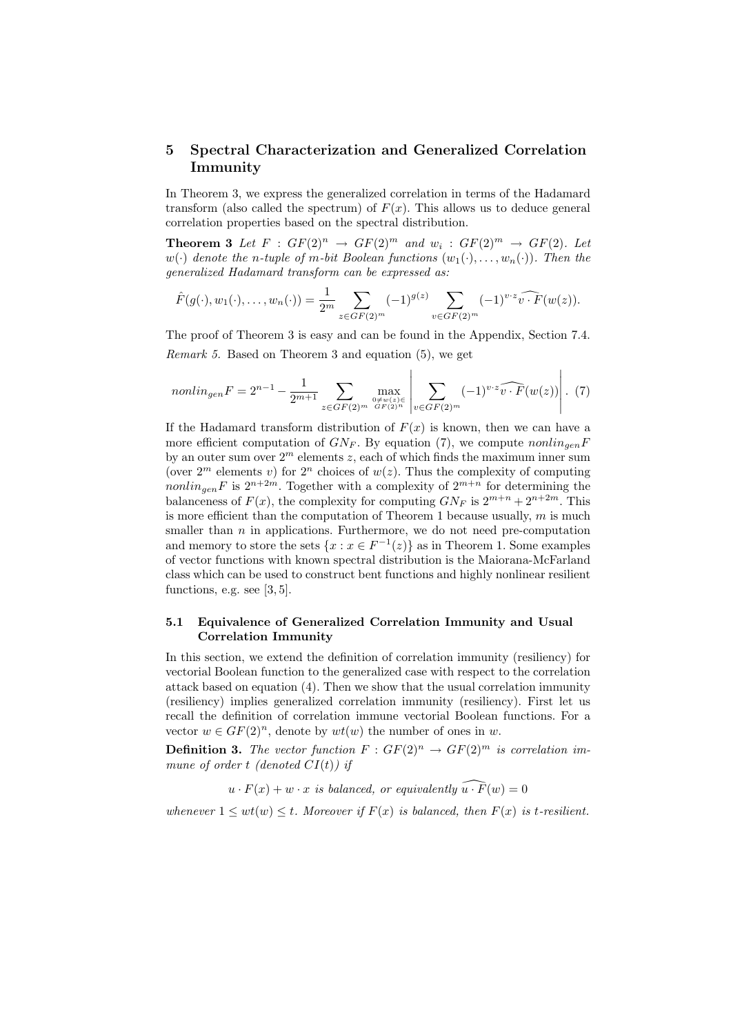## 5 Spectral Characterization and Generalized Correlation Immunity

In Theorem 3, we express the generalized correlation in terms of the Hadamard transform (also called the spectrum) of  $F(x)$ . This allows us to deduce general correlation properties based on the spectral distribution.

**Theorem 3** Let  $F: GF(2)^n \rightarrow GF(2)^m$  and  $w_i: GF(2)^m \rightarrow GF(2)$ . Let  $w(\cdot)$  denote the n-tuple of m-bit Boolean functions  $(w_1(\cdot), \ldots, w_n(\cdot))$ . Then the generalized Hadamard transform can be expressed as:

$$
\hat{F}(g(\cdot), w_1(\cdot), \dots, w_n(\cdot)) = \frac{1}{2^m} \sum_{z \in GF(2)^m} (-1)^{g(z)} \sum_{v \in GF(2)^m} (-1)^{v \cdot z} \widehat{v \cdot F}(w(z)).
$$

The proof of Theorem 3 is easy and can be found in the Appendix, Section 7.4. Remark 5. Based on Theorem 3 and equation (5), we get

$$
nonlingen F = 2^{n-1} - \frac{1}{2^{m+1}} \sum_{z \in GF(2)^m} \max_{\substack{0 \neq w(z) \in \\ GF(2)^n}} \left| \sum_{v \in GF(2)^m} (-1)^{v \cdot z} \widehat{v \cdot F}(w(z)) \right|.
$$
 (7)

 $\overline{a}$ 

 $\overline{a}$ 

If the Hadamard transform distribution of  $F(x)$  is known, then we can have a more efficient computation of  $GN_F$ . By equation (7), we compute nonlin<sub>gen</sub>F by an outer sum over  $2^m$  elements z, each of which finds the maximum inner sum (over  $2^m$  elements v) for  $2^n$  choices of  $w(z)$ . Thus the complexity of computing nonlin<sub>gen</sub>F is  $2^{n+2m}$ . Together with a complexity of  $2^{m+n}$  for determining the balanceness of  $F(x)$ , the complexity for computing  $GN_F$  is  $2^{m+n} + 2^{n+2m}$ . This is more efficient than the computation of Theorem 1 because usually,  $m$  is much smaller than  $n$  in applications. Furthermore, we do not need pre-computation and memory to store the sets  $\{x : x \in F^{-1}(z)\}\)$  as in Theorem 1. Some examples of vector functions with known spectral distribution is the Maiorana-McFarland class which can be used to construct bent functions and highly nonlinear resilient functions, e.g. see [3, 5].

#### 5.1 Equivalence of Generalized Correlation Immunity and Usual Correlation Immunity

In this section, we extend the definition of correlation immunity (resiliency) for vectorial Boolean function to the generalized case with respect to the correlation attack based on equation (4). Then we show that the usual correlation immunity (resiliency) implies generalized correlation immunity (resiliency). First let us recall the definition of correlation immune vectorial Boolean functions. For a vector  $w \in GF(2)^n$ , denote by  $wt(w)$  the number of ones in w.

**Definition 3.** The vector function  $F: GF(2)^n \rightarrow GF(2)^m$  is correlation immune of order t (denoted  $CI(t)$ ) if

 $u \cdot F(x) + w \cdot x$  is balanced, or equivalently  $\widehat{u \cdot F}(w) = 0$ 

whenever  $1 \leq wt(w) \leq t$ . Moreover if  $F(x)$  is balanced, then  $F(x)$  is t-resilient.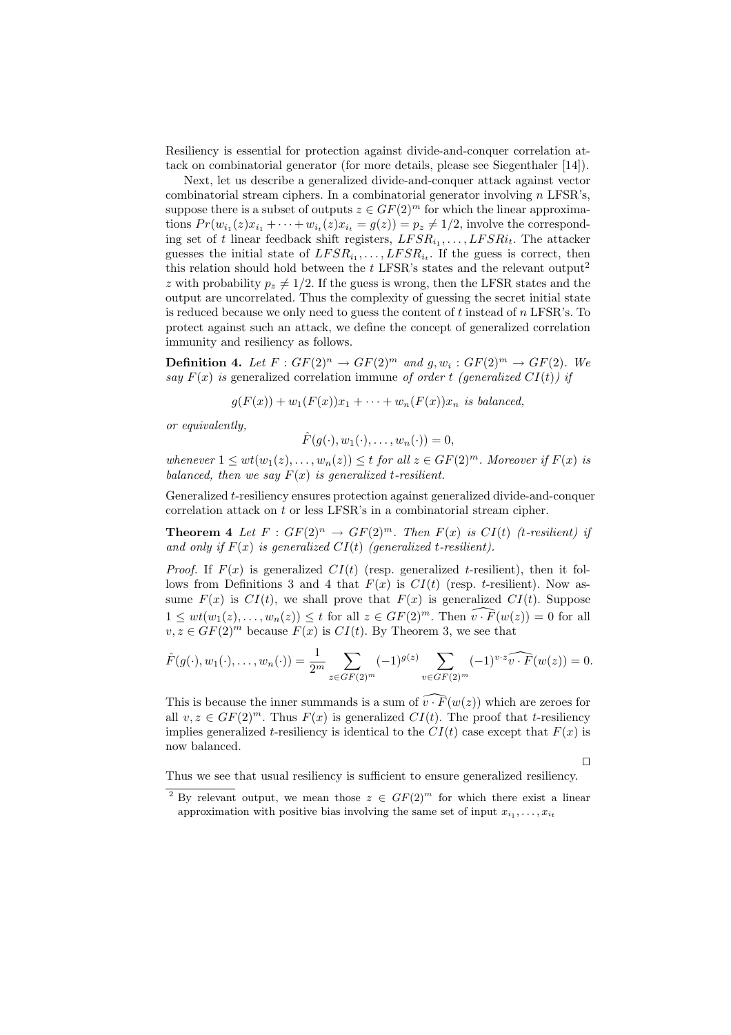Resiliency is essential for protection against divide-and-conquer correlation attack on combinatorial generator (for more details, please see Siegenthaler [14]).

Next, let us describe a generalized divide-and-conquer attack against vector combinatorial stream ciphers. In a combinatorial generator involving n LFSR's, suppose there is a subset of outputs  $z \in GF(2)^m$  for which the linear approximations  $Pr(w_{i_1}(z)x_{i_1} + \cdots + w_{i_t}(z)x_{i_t} = g(z)) = p_z \neq 1/2$ , involve the corresponding set of t linear feedback shift registers,  $LFSR_{i_1}, \ldots, LFSR_{i_t}$ . The attacker guesses the initial state of  $LFSR_{i_1}, \ldots, LFSR_{i_t}$ . If the guess is correct, then this relation should hold between the t LFSR's states and the relevant output<sup>2</sup> z with probability  $p_z \neq 1/2$ . If the guess is wrong, then the LFSR states and the output are uncorrelated. Thus the complexity of guessing the secret initial state is reduced because we only need to guess the content of  $t$  instead of  $n$  LFSR's. To protect against such an attack, we define the concept of generalized correlation immunity and resiliency as follows.

**Definition 4.** Let  $F: GF(2)^n \to GF(2)^m$  and  $g, w_i: GF(2)^m \to GF(2)$ . We say  $F(x)$  is generalized correlation immune of order t (generalized  $CI(t)$ ) if

$$
g(F(x)) + w_1(F(x))x_1 + \cdots + w_n(F(x))x_n
$$
 is balanced,

or equivalently,

$$
\hat{F}(g(\cdot), w_1(\cdot), \ldots, w_n(\cdot)) = 0,
$$

whenever  $1 \le wt(w_1(z), \ldots, w_n(z)) \le t$  for all  $z \in GF(2)^m$ . Moreover if  $F(x)$  is balanced, then we say  $F(x)$  is generalized t-resilient.

Generalized t-resiliency ensures protection against generalized divide-and-conquer correlation attack on t or less LFSR's in a combinatorial stream cipher.

**Theorem 4** Let  $F: GF(2)^n \rightarrow GF(2)^m$ . Then  $F(x)$  is  $CI(t)$  (t-resilient) if and only if  $F(x)$  is generalized  $CI(t)$  (generalized t-resilient).

*Proof.* If  $F(x)$  is generalized  $CI(t)$  (resp. generalized t-resilient), then it follows from Definitions 3 and 4 that  $F(x)$  is  $CI(t)$  (resp. t-resilient). Now assume  $F(x)$  is  $CI(t)$ , we shall prove that  $F(x)$  is generalized  $CI(t)$ . Suppose  $1 \leq wt(w_1(z), \ldots, w_n(z)) \leq t$  for all  $z \in GF(2)^m$ . Then  $\widehat{v \cdot F}(w(z)) = 0$  for all  $v, z \in GF(2)^m$  because  $F(x)$  is  $CI(t)$ . By Theorem 3, we see that

$$
\hat{F}(g(\cdot), w_1(\cdot), \dots, w_n(\cdot)) = \frac{1}{2^m} \sum_{z \in GF(2)^m} (-1)^{g(z)} \sum_{v \in GF(2)^m} (-1)^{v \cdot z} \widehat{v \cdot F}(w(z)) = 0.
$$

This is because the inner summands is a sum of  $v\cdot F(w(z))$  which are zeroes for all  $v, z \in GF(2)^m$ . Thus  $F(x)$  is generalized  $CI(t)$ . The proof that t-resiliency implies generalized t-resiliency is identical to the  $CI(t)$  case except that  $F(x)$  is now balanced.

 $\Box$ 

Thus we see that usual resiliency is sufficient to ensure generalized resiliency.

<sup>&</sup>lt;sup>2</sup> By relevant output, we mean those  $z \in GF(2)^m$  for which there exist a linear approximation with positive bias involving the same set of input  $x_{i_1}, \ldots, x_{i_t}$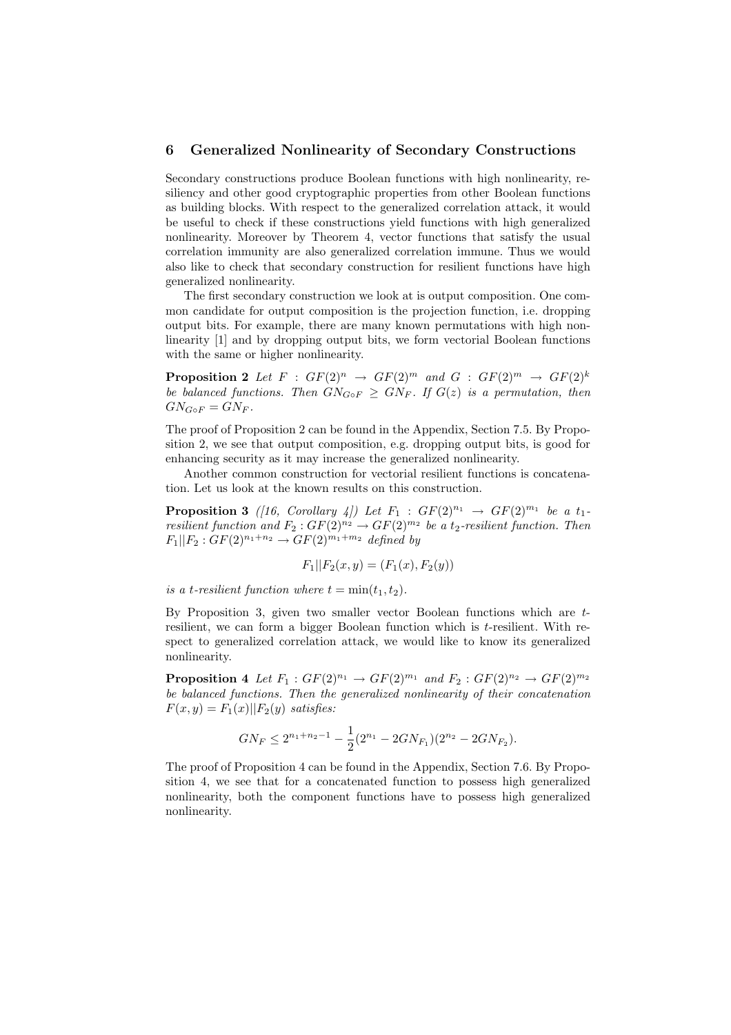#### 6 Generalized Nonlinearity of Secondary Constructions

Secondary constructions produce Boolean functions with high nonlinearity, resiliency and other good cryptographic properties from other Boolean functions as building blocks. With respect to the generalized correlation attack, it would be useful to check if these constructions yield functions with high generalized nonlinearity. Moreover by Theorem 4, vector functions that satisfy the usual correlation immunity are also generalized correlation immune. Thus we would also like to check that secondary construction for resilient functions have high generalized nonlinearity.

The first secondary construction we look at is output composition. One common candidate for output composition is the projection function, i.e. dropping output bits. For example, there are many known permutations with high nonlinearity [1] and by dropping output bits, we form vectorial Boolean functions with the same or higher nonlinearity.

**Proposition 2** Let  $F : GF(2)^n \rightarrow GF(2)^m$  and  $G : GF(2)^m \rightarrow GF(2)^k$ be balanced functions. Then  $GN_{G \circ F} \geq GN_F$ . If  $G(z)$  is a permutation, then  $GN_{G\circ F}=GN_F.$ 

The proof of Proposition 2 can be found in the Appendix, Section 7.5. By Proposition 2, we see that output composition, e.g. dropping output bits, is good for enhancing security as it may increase the generalized nonlinearity.

Another common construction for vectorial resilient functions is concatenation. Let us look at the known results on this construction.

**Proposition 3** ([16, Corollary 4]) Let  $F_1 : GF(2)^{n_1} \rightarrow GF(2)^{m_1}$  be a  $t_1$ resilient function and  $F_2: GF(2)^{n_2} \to GF(2)^{m_2}$  be a  $t_2$ -resilient function. Then  $F_1||F_2: GF(2)^{n_1+n_2} \to GF(2)^{m_1+m_2}$  defined by

$$
F_1||F_2(x,y) = (F_1(x), F_2(y))
$$

is a t-resilient function where  $t = min(t_1, t_2)$ .

By Proposition 3, given two smaller vector Boolean functions which are  $t$ resilient, we can form a bigger Boolean function which is t-resilient. With respect to generalized correlation attack, we would like to know its generalized nonlinearity.

**Proposition 4** Let  $F_1$  :  $GF(2)^{n_1} \rightarrow GF(2)^{m_1}$  and  $F_2$  :  $GF(2)^{n_2} \rightarrow GF(2)^{m_2}$ be balanced functions. Then the generalized nonlinearity of their concatenation  $F(x, y) = F_1(x)||F_2(y)$  satisfies:

$$
GN_F\leq 2^{n_1+n_2-1}-\frac{1}{2}(2^{n_1}-2GN_{F_1})(2^{n_2}-2GN_{F_2}).
$$

The proof of Proposition 4 can be found in the Appendix, Section 7.6. By Proposition 4, we see that for a concatenated function to possess high generalized nonlinearity, both the component functions have to possess high generalized nonlinearity.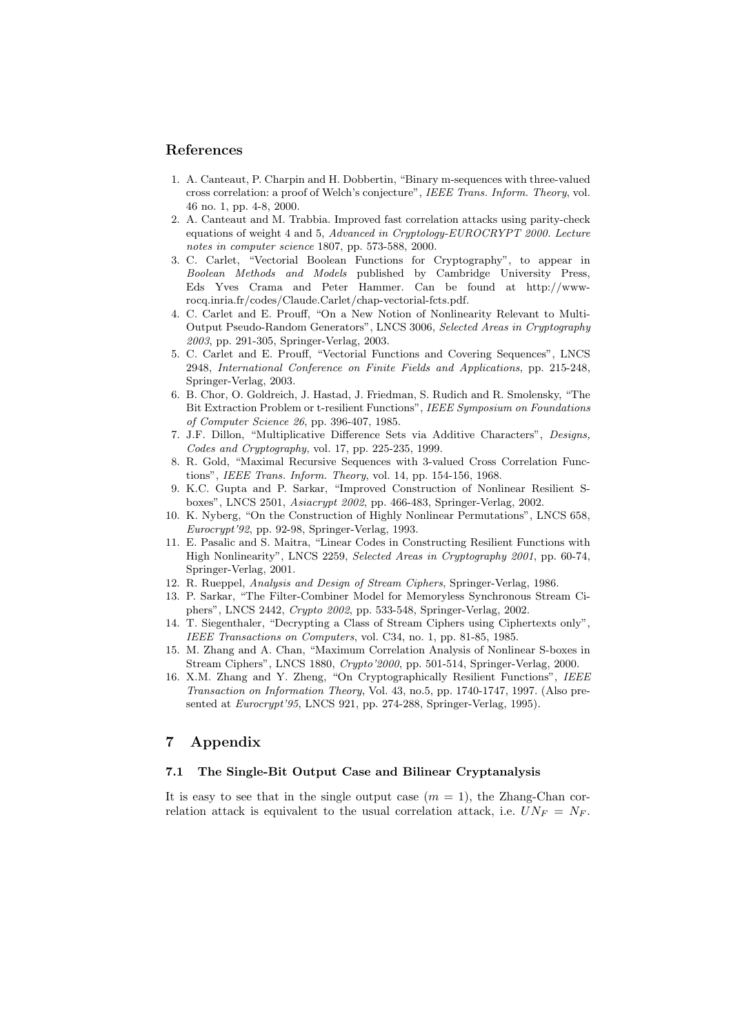#### References

- 1. A. Canteaut, P. Charpin and H. Dobbertin, "Binary m-sequences with three-valued cross correlation: a proof of Welch's conjecture", IEEE Trans. Inform. Theory, vol. 46 no. 1, pp. 4-8, 2000.
- 2. A. Canteaut and M. Trabbia. Improved fast correlation attacks using parity-check equations of weight 4 and 5, Advanced in Cryptology-EUROCRYPT 2000. Lecture notes in computer science 1807, pp. 573-588, 2000.
- 3. C. Carlet, "Vectorial Boolean Functions for Cryptography", to appear in Boolean Methods and Models published by Cambridge University Press, Eds Yves Crama and Peter Hammer. Can be found at http://wwwrocq.inria.fr/codes/Claude.Carlet/chap-vectorial-fcts.pdf.
- 4. C. Carlet and E. Prouff, "On a New Notion of Nonlinearity Relevant to Multi-Output Pseudo-Random Generators", LNCS 3006, Selected Areas in Cryptography 2003, pp. 291-305, Springer-Verlag, 2003.
- 5. C. Carlet and E. Prouff, "Vectorial Functions and Covering Sequences", LNCS 2948, International Conference on Finite Fields and Applications, pp. 215-248, Springer-Verlag, 2003.
- 6. B. Chor, O. Goldreich, J. Hastad, J. Friedman, S. Rudich and R. Smolensky, "The Bit Extraction Problem or t-resilient Functions", IEEE Symposium on Foundations of Computer Science 26, pp. 396-407, 1985.
- 7. J.F. Dillon, "Multiplicative Difference Sets via Additive Characters", Designs, Codes and Cryptography, vol. 17, pp. 225-235, 1999.
- 8. R. Gold, "Maximal Recursive Sequences with 3-valued Cross Correlation Functions", IEEE Trans. Inform. Theory, vol. 14, pp. 154-156, 1968.
- 9. K.C. Gupta and P. Sarkar, "Improved Construction of Nonlinear Resilient Sboxes", LNCS 2501, Asiacrypt 2002, pp. 466-483, Springer-Verlag, 2002.
- 10. K. Nyberg, "On the Construction of Highly Nonlinear Permutations", LNCS 658, Eurocrypt'92, pp. 92-98, Springer-Verlag, 1993.
- 11. E. Pasalic and S. Maitra, "Linear Codes in Constructing Resilient Functions with High Nonlinearity", LNCS 2259, Selected Areas in Cryptography 2001, pp. 60-74, Springer-Verlag, 2001.
- 12. R. Rueppel, Analysis and Design of Stream Ciphers, Springer-Verlag, 1986.
- 13. P. Sarkar, "The Filter-Combiner Model for Memoryless Synchronous Stream Ciphers", LNCS 2442, Crypto 2002, pp. 533-548, Springer-Verlag, 2002.
- 14. T. Siegenthaler, "Decrypting a Class of Stream Ciphers using Ciphertexts only", IEEE Transactions on Computers, vol. C34, no. 1, pp. 81-85, 1985.
- 15. M. Zhang and A. Chan, "Maximum Correlation Analysis of Nonlinear S-boxes in Stream Ciphers", LNCS 1880, Crypto'2000, pp. 501-514, Springer-Verlag, 2000.
- 16. X.M. Zhang and Y. Zheng, "On Cryptographically Resilient Functions", IEEE Transaction on Information Theory, Vol. 43, no.5, pp. 1740-1747, 1997. (Also presented at Eurocrypt'95, LNCS 921, pp. 274-288, Springer-Verlag, 1995).

### 7 Appendix

#### 7.1 The Single-Bit Output Case and Bilinear Cryptanalysis

It is easy to see that in the single output case  $(m = 1)$ , the Zhang-Chan correlation attack is equivalent to the usual correlation attack, i.e.  $UN_F = N_F$ .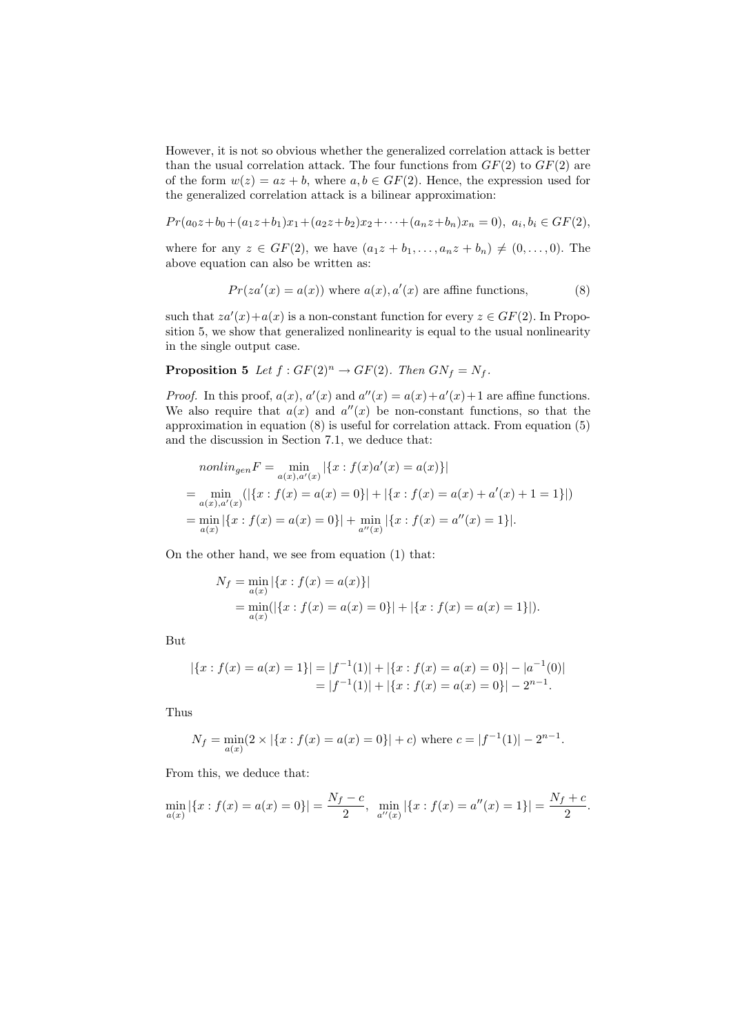However, it is not so obvious whether the generalized correlation attack is better than the usual correlation attack. The four functions from  $GF(2)$  to  $GF(2)$  are of the form  $w(z) = az + b$ , where  $a, b \in GF(2)$ . Hence, the expression used for the generalized correlation attack is a bilinear approximation:

$$
Pr(a_0z+b_0+(a_1z+b_1)x_1+(a_2z+b_2)x_2+\cdots+(a_nz+b_n)x_n=0), a_i, b_i \in GF(2),
$$

where for any  $z \in GF(2)$ , we have  $(a_1z + b_1, \ldots, a_nz + b_n) \neq (0, \ldots, 0)$ . The above equation can also be written as:

$$
Pr(za'(x) = a(x))
$$
 where  $a(x)$ ,  $a'(x)$  are affine functions, (8)

such that  $za'(x)+a(x)$  is a non-constant function for every  $z \in GF(2)$ . In Proposition 5, we show that generalized nonlinearity is equal to the usual nonlinearity in the single output case.

**Proposition 5** Let  $f: GF(2)^n \to GF(2)$ . Then  $GN_f = N_f$ .

*Proof.* In this proof,  $a(x)$ ,  $a'(x)$  and  $a''(x) = a(x) + a'(x) + 1$  are affine functions. We also require that  $a(x)$  and  $a''(x)$  be non-constant functions, so that the approximation in equation (8) is useful for correlation attack. From equation (5) and the discussion in Section 7.1, we deduce that:

$$
nonlin_{gen}F = \min_{a(x),a'(x)} |\{x : f(x)a'(x) = a(x)\}|
$$
  
= 
$$
\min_{a(x),a'(x)} (|\{x : f(x) = a(x) = 0\}| + |\{x : f(x) = a(x) + a'(x) + 1 = 1\}|)
$$
  
= 
$$
\min_{a(x)} |\{x : f(x) = a(x) = 0\}| + \min_{a''(x)} |\{x : f(x) = a''(x) = 1\}|.
$$

On the other hand, we see from equation (1) that:

$$
N_f = \min_{a(x)} |\{x : f(x) = a(x)\}|
$$
  
= 
$$
\min_{a(x)} (|\{x : f(x) = a(x) = 0\}| + |\{x : f(x) = a(x) = 1\}|).
$$

But

$$
|\{x : f(x) = a(x) = 1\}| = |f^{-1}(1)| + |\{x : f(x) = a(x) = 0\}| - |a^{-1}(0)|
$$
  
= |f^{-1}(1)| + |\{x : f(x) = a(x) = 0\}| - 2<sup>n-1</sup>.

Thus

$$
N_f = \min_{a(x)} (2 \times |\{x : f(x) = a(x) = 0\}| + c)
$$
 where  $c = |f^{-1}(1)| - 2^{n-1}$ .

From this, we deduce that:

$$
\min_{a(x)} |\{x : f(x) = a(x) = 0\}| = \frac{N_f - c}{2}, \ \min_{a''(x)} |\{x : f(x) = a''(x) = 1\}| = \frac{N_f + c}{2}.
$$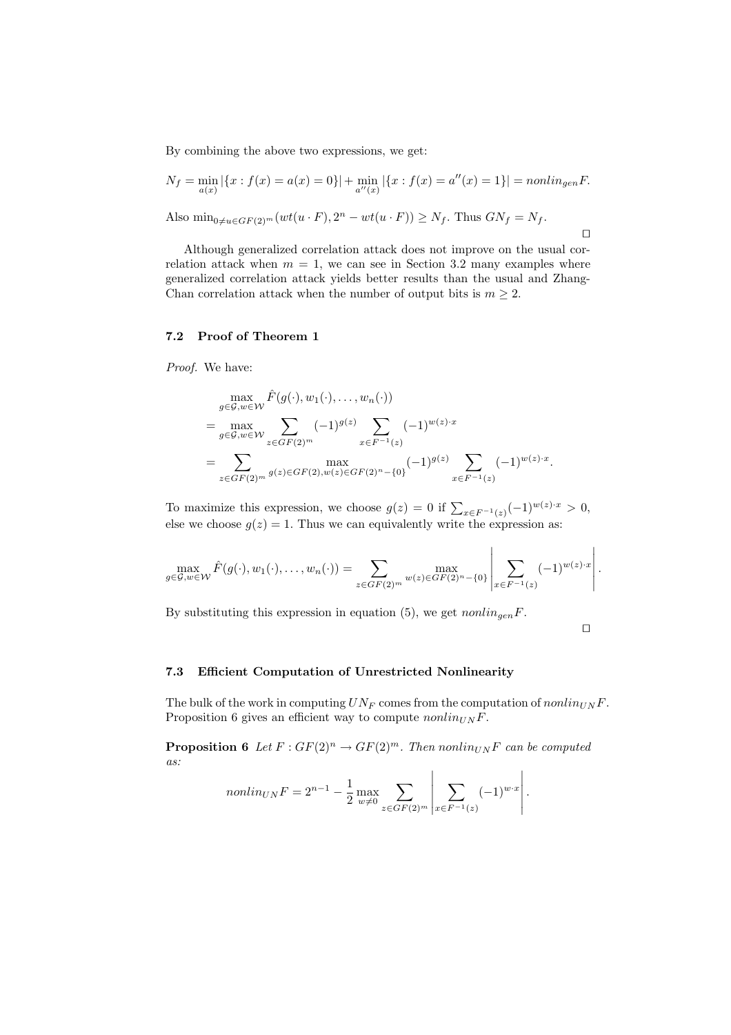By combining the above two expressions, we get:

$$
N_f = \min_{a(x)} |\{x : f(x) = a(x) = 0\}| + \min_{a''(x)} |\{x : f(x) = a''(x) = 1\}| = \text{nonlin}_{gen} F.
$$

Also  $\min_{0 \neq u \in GF(2)^m} (wt(u \cdot F), 2^n - wt(u \cdot F)) \geq N_f$ . Thus  $GN_f = N_f$ .

 $\Box$ 

Although generalized correlation attack does not improve on the usual correlation attack when  $m = 1$ , we can see in Section 3.2 many examples where generalized correlation attack yields better results than the usual and Zhang-Chan correlation attack when the number of output bits is  $m \geq 2$ .

#### 7.2 Proof of Theorem 1

Proof. We have:

$$
\max_{g \in \mathcal{G}, w \in \mathcal{W}} \hat{F}(g(\cdot), w_1(\cdot), \dots, w_n(\cdot))
$$
\n
$$
= \max_{g \in \mathcal{G}, w \in \mathcal{W}} \sum_{z \in GF(2)^m} (-1)^{g(z)} \sum_{x \in F^{-1}(z)} (-1)^{w(z) \cdot x}
$$
\n
$$
= \sum_{z \in GF(2)^m} \max_{g(z) \in GF(2), w(z) \in GF(2)^n - \{0\}} (-1)^{g(z)} \sum_{x \in F^{-1}(z)} (-1)^{w(z) \cdot x}.
$$

To maximize this expression, we choose  $g(z) = 0$  if  $\sum_{x \in F^{-1}(z)} (-1)^{w(z) \cdot x} > 0$ , else we choose  $g(z) = 1$ . Thus we can equivalently write the expression as:

$$
\max_{g \in \mathcal{G}, w \in \mathcal{W}} \hat{F}(g(\cdot), w_1(\cdot), \dots, w_n(\cdot)) = \sum_{z \in GF(2)^m} \max_{w(z) \in GF(2)^n - \{0\}} \left| \sum_{x \in F^{-1}(z)} (-1)^{w(z) \cdot x} \right|.
$$

By substituting this expression in equation (5), we get  $nonlin_{gen}F$ .

 $\Box$ 

 $\overline{a}$ 

#### 7.3 Efficient Computation of Unrestricted Nonlinearity

The bulk of the work in computing  $UN_F$  comes from the computation of nonlin<sub>UN</sub>F. Proposition 6 gives an efficient way to compute  $nonlin_{UN}F$ .

**Proposition 6** Let  $F: GF(2)^n \to GF(2)^m$ . Then nonlin<sub>UN</sub>F can be computed as:

$$
nonlin_{UN}F = 2^{n-1} - \frac{1}{2} \max_{w \neq 0} \sum_{z \in GF(2)^m} \left| \sum_{x \in F^{-1}(z)} (-1)^{w \cdot x} \right|.
$$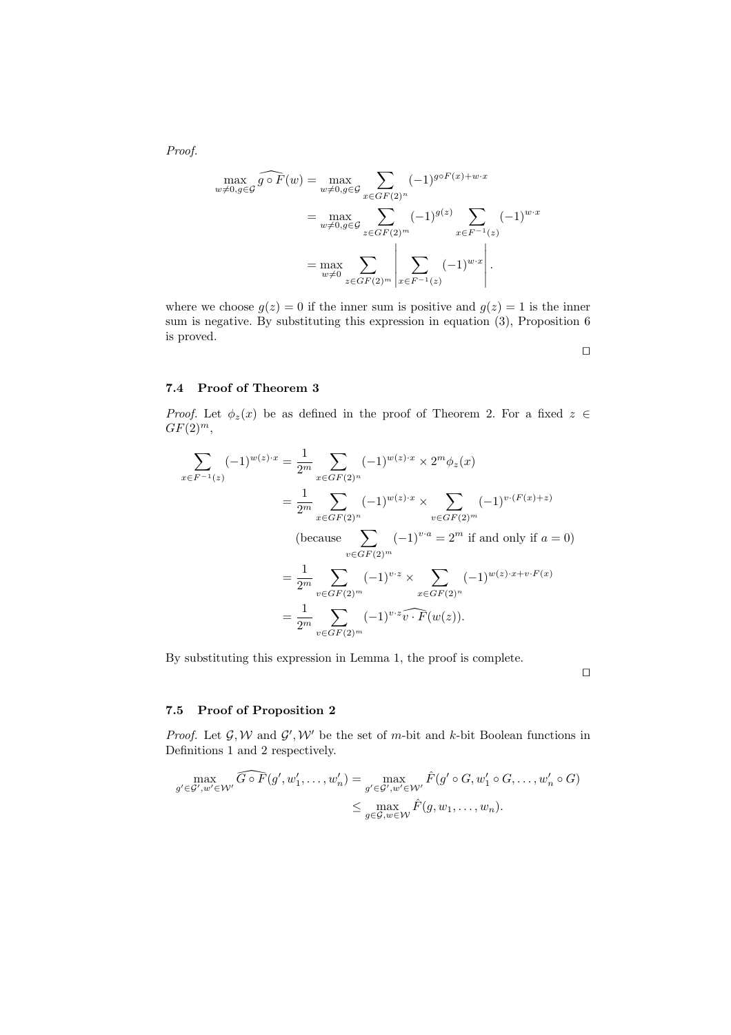Proof.

$$
\max_{w \neq 0, g \in \mathcal{G}} \widehat{g \circ F}(w) = \max_{w \neq 0, g \in \mathcal{G}} \sum_{x \in GF(2)^n} (-1)^{g \circ F(x) + w \cdot x}
$$

$$
= \max_{w \neq 0, g \in \mathcal{G}} \sum_{z \in GF(2)^m} (-1)^{g(z)} \sum_{x \in F^{-1}(z)} (-1)^{w \cdot x}
$$

$$
= \max_{w \neq 0} \sum_{z \in GF(2)^m} \left| \sum_{x \in F^{-1}(z)} (-1)^{w \cdot x} \right|.
$$

where we choose  $q(z) = 0$  if the inner sum is positive and  $q(z) = 1$  is the inner sum is negative. By substituting this expression in equation (3), Proposition 6 is proved.

## $\Box$

## 7.4 Proof of Theorem 3

*Proof.* Let  $\phi_z(x)$  be as defined in the proof of Theorem 2. For a fixed  $z \in \mathbb{R}$  $GF(2)<sup>m</sup>$ ,

$$
\sum_{x \in F^{-1}(z)} (-1)^{w(z) \cdot x} = \frac{1}{2^m} \sum_{x \in GF(2)^n} (-1)^{w(z) \cdot x} \times 2^m \phi_z(x)
$$
  
\n
$$
= \frac{1}{2^m} \sum_{x \in GF(2)^n} (-1)^{w(z) \cdot x} \times \sum_{v \in GF(2)^m} (-1)^{v \cdot (F(x) + z)}
$$
  
\n(because  $\sum_{v \in GF(2)^m} (-1)^{v \cdot a} = 2^m$  if and only if  $a = 0$ )  
\n
$$
= \frac{1}{2^m} \sum_{v \in GF(2)^m} (-1)^{v \cdot z} \times \sum_{x \in GF(2)^n} (-1)^{w(z) \cdot x + v \cdot F(x)}
$$
  
\n
$$
= \frac{1}{2^m} \sum_{v \in GF(2)^m} (-1)^{v \cdot z} \widehat{v \cdot F}(w(z)).
$$

By substituting this expression in Lemma 1, the proof is complete.

 $\Box$ 

#### 7.5 Proof of Proposition 2

*Proof.* Let  $\mathcal{G}, \mathcal{W}$  and  $\mathcal{G}', \mathcal{W}'$  be the set of m-bit and k-bit Boolean functions in Definitions 1 and 2 respectively.

$$
\max_{g' \in \mathcal{G}', w' \in \mathcal{W}'} \widehat{G \circ F}(g', w'_1, \dots, w'_n) = \max_{g' \in \mathcal{G}', w' \in \mathcal{W}'} \hat{F}(g' \circ G, w'_1 \circ G, \dots, w'_n \circ G)
$$
  

$$
\leq \max_{g \in \mathcal{G}, w \in \mathcal{W}} \hat{F}(g, w_1, \dots, w_n).
$$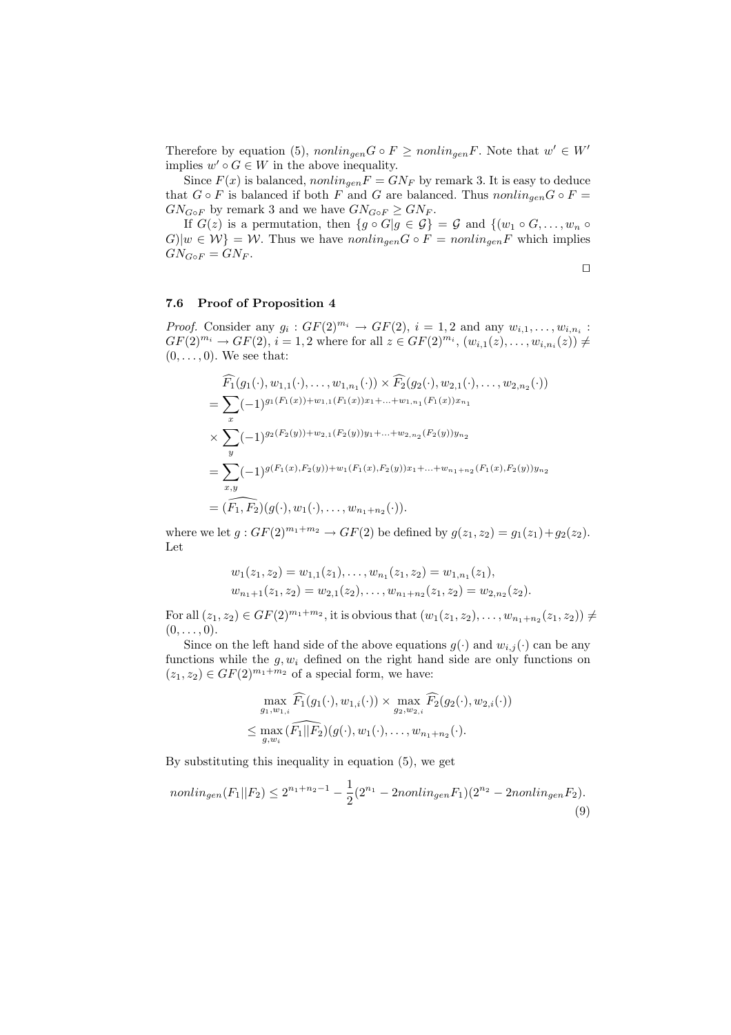Therefore by equation (5),  $nonlin_{gen} G \circ F \geq nonlin_{gen} F$ . Note that  $w' \in W'$ implies  $w' \circ G \in W$  in the above inequality.

Since  $F(x)$  is balanced, nonlin<sub>gen</sub> $F = G N_F$  by remark 3. It is easy to deduce that  $G \circ F$  is balanced if both F and G are balanced. Thus nonlin<sub>gen</sub> $G \circ F =$  $GN_{G\circ F}$  by remark 3 and we have  $GN_{G\circ F} \geq GN_F$ .

If  $G(z)$  is a permutation, then  $\{g \circ G | g \in \mathcal{G}\}\ = \mathcal{G}$  and  $\{(w_1 \circ G, \ldots, w_n \circ$  $G|w \in W$  = W. Thus we have nonlingen $G \circ F = \text{nonlin}_{gen}F$  which implies  $GN_{G\circ F}=GN_F.$ 

$$
\Box
$$

### 7.6 Proof of Proposition 4

*Proof.* Consider any  $g_i: GF(2)^{m_i} \rightarrow GF(2), i = 1, 2$  and any  $w_{i,1}, \ldots, w_{i,n_i}$ :  $GF(2)^{m_i} \to GF(2), i = 1, 2$  where for all  $z \in GF(2)^{m_i}, (w_{i,1}(z), \ldots, w_{i,n_i}(z)) \neq 0$  $(0, \ldots, 0)$ . We see that:

$$
\widehat{F}_1(g_1(\cdot), w_{1,1}(\cdot), \dots, w_{1,n_1}(\cdot)) \times \widehat{F}_2(g_2(\cdot), w_{2,1}(\cdot), \dots, w_{2,n_2}(\cdot))
$$
\n
$$
= \sum_x (-1)^{g_1(F_1(x)) + w_{1,1}(F_1(x))x_1 + \dots + w_{1,n_1}(F_1(x))x_{n_1}}
$$
\n
$$
\times \sum_y (-1)^{g_2(F_2(y)) + w_{2,1}(F_2(y))y_1 + \dots + w_{2,n_2}(F_2(y))y_{n_2}}
$$
\n
$$
= \sum_{x,y} (-1)^{g(F_1(x), F_2(y)) + w_1(F_1(x), F_2(y))x_1 + \dots + w_{n_1+n_2}(F_1(x), F_2(y))y_{n_2}
$$
\n
$$
= (\widehat{F}_1, \widehat{F}_2)(g(\cdot), w_1(\cdot), \dots, w_{n_1+n_2}(\cdot)).
$$

where we let  $g: GF(2)^{m_1+m_2} \to GF(2)$  be defined by  $g(z_1, z_2) = g_1(z_1) + g_2(z_2)$ . Let

$$
w_1(z_1, z_2) = w_{1,1}(z_1), \dots, w_{n_1}(z_1, z_2) = w_{1,n_1}(z_1),
$$
  
\n
$$
w_{n_1+1}(z_1, z_2) = w_{2,1}(z_2), \dots, w_{n_1+n_2}(z_1, z_2) = w_{2,n_2}(z_2).
$$

For all  $(z_1, z_2) \in GF(2)^{m_1+m_2}$ , it is obvious that  $(w_1(z_1, z_2), \ldots, w_{n_1+n_2}(z_1, z_2)) \neq$  $(0, \ldots, 0).$ 

Since on the left hand side of the above equations  $g(\cdot)$  and  $w_{i,j}(\cdot)$  can be any functions while the  $g, w_i$  defined on the right hand side are only functions on  $(z_1, z_2) \in GF(2)^{m_1+m_2}$  of a special form, we have:

$$
\max_{g_1, w_{1,i}} \widehat{F_1}(g_1(\cdot), w_{1,i}(\cdot)) \times \max_{g_2, w_{2,i}} \widehat{F_2}(g_2(\cdot), w_{2,i}(\cdot))
$$
  

$$
\leq \max_{g, w_i} (\widehat{F_1||F_2})(g(\cdot), w_1(\cdot), \dots, w_{n_1+n_2}(\cdot)).
$$

By substituting this inequality in equation (5), we get

$$
nonlin_{gen}(F_1||F_2) \le 2^{n_1+n_2-1} - \frac{1}{2}(2^{n_1} - 2nonlin_{gen}F_1)(2^{n_2} - 2nonlin_{gen}F_2).
$$
\n(9)